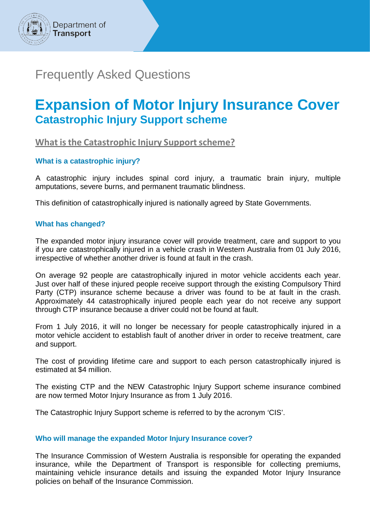

# Frequently Asked Questions

# **Expansion of Motor Injury Insurance Cover Catastrophic Injury Support scheme**

**What is the Catastrophic Injury Support scheme?**

# **What is a catastrophic injury?**

A catastrophic injury includes spinal cord injury, a traumatic brain injury, multiple amputations, severe burns, and permanent traumatic blindness.

This definition of catastrophically injured is nationally agreed by State Governments.

# **What has changed?**

The expanded motor injury insurance cover will provide treatment, care and support to you if you are catastrophically injured in a vehicle crash in Western Australia from 01 July 2016, irrespective of whether another driver is found at fault in the crash.

On average 92 people are catastrophically injured in motor vehicle accidents each year. Just over half of these injured people receive support through the existing Compulsory Third Party (CTP) insurance scheme because a driver was found to be at fault in the crash. Approximately 44 catastrophically injured people each year do not receive any support through CTP insurance because a driver could not be found at fault.

From 1 July 2016, it will no longer be necessary for people catastrophically injured in a motor vehicle accident to establish fault of another driver in order to receive treatment, care and support.

The cost of providing lifetime care and support to each person catastrophically injured is estimated at \$4 million.

The existing CTP and the NEW Catastrophic Injury Support scheme insurance combined are now termed Motor Injury Insurance as from 1 July 2016.

The Catastrophic Injury Support scheme is referred to by the acronym 'CIS'.

# **Who will manage the expanded Motor Injury Insurance cover?**

The Insurance Commission of Western Australia is responsible for operating the expanded insurance, while the Department of Transport is responsible for collecting premiums, maintaining vehicle insurance details and issuing the expanded Motor Injury Insurance policies on behalf of the Insurance Commission.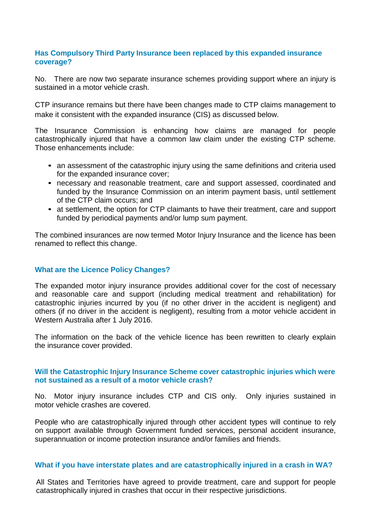# **Has Compulsory Third Party Insurance been replaced by this expanded insurance coverage?**

No. There are now two separate insurance schemes providing support where an injury is sustained in a motor vehicle crash.

CTP insurance remains but there have been changes made to CTP claims management to make it consistent with the expanded insurance (CIS) as discussed below.

The Insurance Commission is enhancing how claims are managed for people catastrophically injured that have a common law claim under the existing CTP scheme. Those enhancements include:

- an assessment of the catastrophic injury using the same definitions and criteria used for the expanded insurance cover;
- necessary and reasonable treatment, care and support assessed, coordinated and funded by the Insurance Commission on an interim payment basis, until settlement of the CTP claim occurs; and
- at settlement, the option for CTP claimants to have their treatment, care and support funded by periodical payments and/or lump sum payment.

The combined insurances are now termed Motor Injury Insurance and the licence has been renamed to reflect this change.

# **What are the Licence Policy Changes?**

The expanded motor injury insurance provides additional cover for the cost of necessary and reasonable care and support (including medical treatment and rehabilitation) for catastrophic injuries incurred by you (if no other driver in the accident is negligent) and others (if no driver in the accident is negligent), resulting from a motor vehicle accident in Western Australia after 1 July 2016.

The information on the back of the vehicle licence has been rewritten to clearly explain the insurance cover provided.

## **Will the Catastrophic Injury Insurance Scheme cover catastrophic injuries which were not sustained as a result of a motor vehicle crash?**

No. Motor injury insurance includes CTP and CIS only. Only injuries sustained in motor vehicle crashes are covered.

People who are catastrophically injured through other accident types will continue to rely on support available through Government funded services, personal accident insurance, superannuation or income protection insurance and/or families and friends.

# **What if you have interstate plates and are catastrophically injured in a crash in WA?**

All States and Territories have agreed to provide treatment, care and support for people catastrophically injured in crashes that occur in their respective jurisdictions.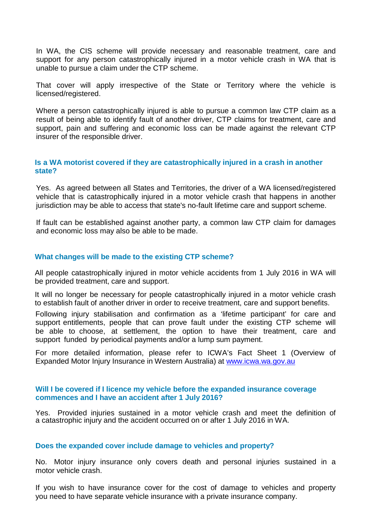In WA, the CIS scheme will provide necessary and reasonable treatment, care and support for any person catastrophically injured in a motor vehicle crash in WA that is unable to pursue a claim under the CTP scheme.

That cover will apply irrespective of the State or Territory where the vehicle is licensed/registered.

Where a person catastrophically injured is able to pursue a common law CTP claim as a result of being able to identify fault of another driver, CTP claims for treatment, care and support, pain and suffering and economic loss can be made against the relevant CTP insurer of the responsible driver.

## **Is a WA motorist covered if they are catastrophically injured in a crash in another state?**

Yes. As agreed between all States and Territories, the driver of a WA licensed/registered vehicle that is catastrophically injured in a motor vehicle crash that happens in another jurisdiction may be able to access that state's no-fault lifetime care and support scheme.

If fault can be established against another party, a common law CTP claim for damages and economic loss may also be able to be made.

## **What changes will be made to the existing CTP scheme?**

All people catastrophically injured in motor vehicle accidents from 1 July 2016 in WA will be provided treatment, care and support.

It will no longer be necessary for people catastrophically injured in a motor vehicle crash to establish fault of another driver in order to receive treatment, care and support benefits.

Following injury stabilisation and confirmation as a 'lifetime participant' for care and support entitlements, people that can prove fault under the existing CTP scheme will be able to choose, at settlement, the option to have their treatment, care and support funded by periodical payments and/or a lump sum payment.

For more detailed information, please refer to ICWA's Fact Sheet 1 (Overview of Expanded Motor Injury Insurance in Western Australia) at [www.icwa.wa.gov.au](http://www.icwa.wa.gov.au/)

## **Will I be covered if I licence my vehicle before the expanded insurance coverage commences and I have an accident after 1 July 2016?**

Yes. Provided injuries sustained in a motor vehicle crash and meet the definition of a catastrophic injury and the accident occurred on or after 1 July 2016 in WA.

### **Does the expanded cover include damage to vehicles and property?**

No. Motor injury insurance only covers death and personal injuries sustained in a motor vehicle crash.

If you wish to have insurance cover for the cost of damage to vehicles and property you need to have separate vehicle insurance with a private insurance company.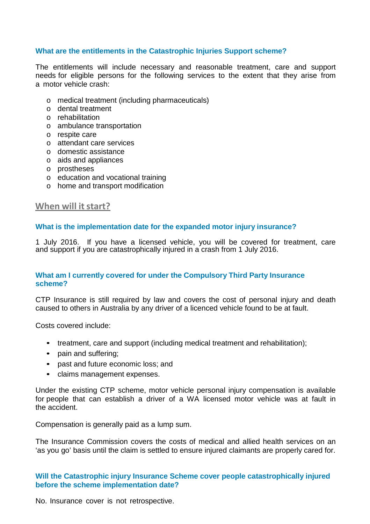# **What are the entitlements in the Catastrophic Injuries Support scheme?**

The entitlements will include necessary and reasonable treatment, care and support needs for eligible persons for the following services to the extent that they arise from a motor vehicle crash:

- o medical treatment (including pharmaceuticals)
- o dental treatment
- o rehabilitation
- o ambulance transportation
- o respite care
- o attendant care services
- o domestic assistance
- o aids and appliances
- o prostheses
- o education and vocational training
- o home and transport modification

# **When will it start?**

## **What is the implementation date for the expanded motor injury insurance?**

1 July 2016. If you have a licensed vehicle, you will be covered for treatment, care and support if you are catastrophically injured in a crash from 1 July 2016.

# **What am I currently covered for under the Compulsory Third Party Insurance scheme?**

CTP Insurance is still required by law and covers the cost of personal injury and death caused to others in Australia by any driver of a licenced vehicle found to be at fault.

Costs covered include:

- treatment, care and support (including medical treatment and rehabilitation);
- pain and suffering;
- past and future economic loss; and
- claims management expenses.

Under the existing CTP scheme, motor vehicle personal injury compensation is available for people that can establish a driver of a WA licensed motor vehicle was at fault in the accident.

Compensation is generally paid as a lump sum.

The Insurance Commission covers the costs of medical and allied health services on an 'as you go' basis until the claim is settled to ensure injured claimants are properly cared for.

# **Will the Catastrophic injury Insurance Scheme cover people catastrophically injured before the scheme implementation date?**

No. Insurance cover is not retrospective.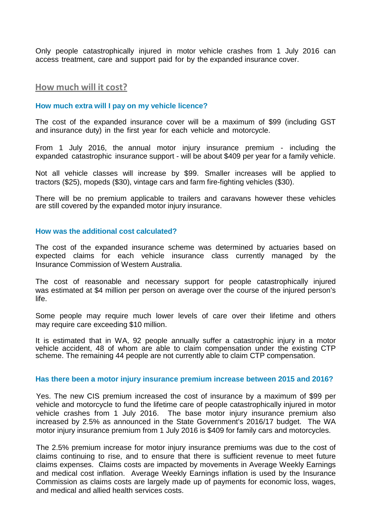Only people catastrophically injured in motor vehicle crashes from 1 July 2016 can access treatment, care and support paid for by the expanded insurance cover.

## **How much will it cost?**

#### **How much extra will I pay on my vehicle licence?**

The cost of the expanded insurance cover will be a maximum of \$99 (including GST and insurance duty) in the first year for each vehicle and motorcycle.

From 1 July 2016, the annual motor injury insurance premium - including the expanded catastrophic insurance support - will be about \$409 per year for a family vehicle.

Not all vehicle classes will increase by \$99. Smaller increases will be applied to tractors (\$25), mopeds (\$30), vintage cars and farm fire-fighting vehicles (\$30).

There will be no premium applicable to trailers and caravans however these vehicles are still covered by the expanded motor injury insurance.

### **How was the additional cost calculated?**

The cost of the expanded insurance scheme was determined by actuaries based on expected claims for each vehicle insurance class currently managed by the Insurance Commission of Western Australia.

The cost of reasonable and necessary support for people catastrophically injured was estimated at \$4 million per person on average over the course of the injured person's life.

Some people may require much lower levels of care over their lifetime and others may require care exceeding \$10 million.

It is estimated that in WA, 92 people annually suffer a catastrophic injury in a motor vehicle accident, 48 of whom are able to claim compensation under the existing CTP scheme. The remaining 44 people are not currently able to claim CTP compensation.

#### **Has there been a motor injury insurance premium increase between 2015 and 2016?**

Yes. The new CIS premium increased the cost of insurance by a maximum of \$99 per vehicle and motorcycle to fund the lifetime care of people catastrophically injured in motor vehicle crashes from 1 July 2016. The base motor injury insurance premium also increased by 2.5% as announced in the State Government's 2016/17 budget. The WA motor injury insurance premium from 1 July 2016 is \$409 for family cars and motorcycles.

The 2.5% premium increase for motor injury insurance premiums was due to the cost of claims continuing to rise, and to ensure that there is sufficient revenue to meet future claims expenses. Claims costs are impacted by movements in Average Weekly Earnings and medical cost inflation. Average Weekly Earnings inflation is used by the Insurance Commission as claims costs are largely made up of payments for economic loss, wages, and medical and allied health services costs.